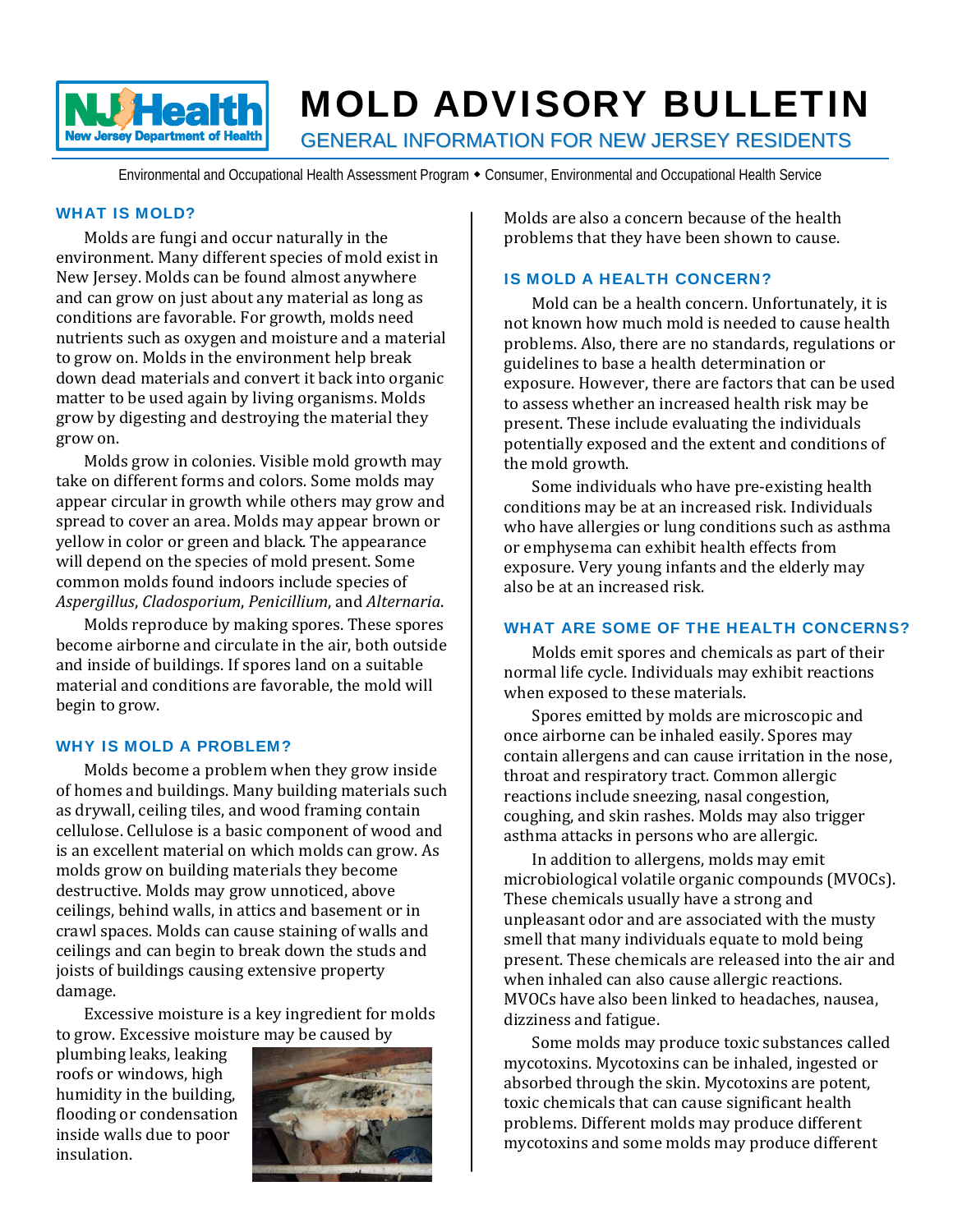

# MOLD ADVISORY BULLETIN

GENERAL INFORMATION FOR NEW JERSEY RESIDENTS

Environmental and Occupational Health Assessment Program • Consumer, Environmental and Occupational Health Service

# WHAT IS MOLD?

Molds are fungi and occur naturally in the environment. Many different species of mold exist in New Jersey. Molds can be found almost anywhere and can grow on just about any material as long as conditions are favorable. For growth, molds need nutrients such as oxygen and moisture and a material to grow on. Molds in the environment help break down dead materials and convert it back into organic matter to be used again by living organisms. Molds grow by digesting and destroying the material they grow on. 

Molds grow in colonies. Visible mold growth may take on different forms and colors. Some molds may appear circular in growth while others may grow and spread to cover an area. Molds may appear brown or yellow in color or green and black. The appearance will depend on the species of mold present. Some common molds found indoors include species of *Aspergillus*, *Cladosporium*, *Penicillium*, and *Alternaria*. 

Molds reproduce by making spores. These spores become airborne and circulate in the air, both outside and inside of buildings. If spores land on a suitable material and conditions are favorable, the mold will begin to grow.

# WHY IS MOLD A PROBLEM?

Molds become a problem when they grow inside of homes and buildings. Many building materials such as drywall, ceiling tiles, and wood framing contain cellulose. Cellulose is a basic component of wood and is an excellent material on which molds can grow. As molds grow on building materials they become destructive. Molds may grow unnoticed, above ceilings, behind walls, in attics and basement or in crawl spaces. Molds can cause staining of walls and ceilings and can begin to break down the studs and joists of buildings causing extensive property damage. 

Excessive moisture is a key ingredient for molds to grow. Excessive moisture may be caused by

plumbing leaks, leaking roofs or windows, high humidity in the building, flooding or condensation inside walls due to poor insulation. 



Molds are also a concern because of the health problems that they have been shown to cause.

#### IS MOLD A HEALTH CONCERN?

Mold can be a health concern. Unfortunately, it is not known how much mold is needed to cause health problems. Also, there are no standards, regulations or guidelines to base a health determination or exposure. However, there are factors that can be used to assess whether an increased health risk may be present. These include evaluating the individuals potentially exposed and the extent and conditions of the mold growth.

Some individuals who have pre-existing health conditions may be at an increased risk. Individuals who have allergies or lung conditions such as asthma or emphysema can exhibit health effects from exposure. Very young infants and the elderly may also be at an increased risk.

#### WHAT ARE SOME OF THE HEALTH CONCERNS?

Molds emit spores and chemicals as part of their normal life cycle. Individuals may exhibit reactions when exposed to these materials.

Spores emitted by molds are microscopic and once airborne can be inhaled easily. Spores may contain allergens and can cause irritation in the nose, throat and respiratory tract. Common allergic reactions include sneezing, nasal congestion, coughing, and skin rashes. Molds may also trigger asthma attacks in persons who are allergic.

In addition to allergens, molds may emit microbiological volatile organic compounds (MVOCs). These chemicals usually have a strong and unpleasant odor and are associated with the musty smell that many individuals equate to mold being present. These chemicals are released into the air and when inhaled can also cause allergic reactions. MVOCs have also been linked to headaches, nausea, dizziness and fatigue.

Some molds may produce toxic substances called mycotoxins. Mycotoxins can be inhaled, ingested or absorbed through the skin. Mycotoxins are potent, toxic chemicals that can cause significant health problems. Different molds may produce different mycotoxins and some molds may produce different